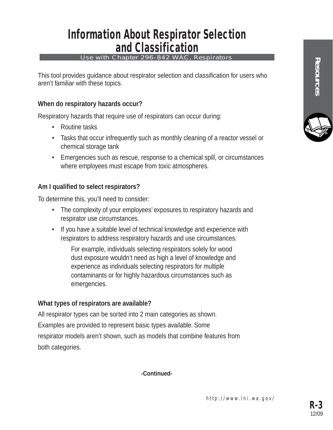### Information About Respirator Selection and Classification

#### Use with Chapter 296-842 WAC, Respirators

This tool provides guidance about respirator selection and classification for users who aren't familiar with these topics.

### **When do respiratory hazards occur?**

Respiratory hazards that require use of respirators can occur during:

- Routine tasks
- Tasks that occur infrequently such as monthly cleaning of a reactor vessel or chemical storage tank
- Emergencies such as rescue, response to a chemical spill, or circumstances where employees must escape from toxic atmospheres.

### **Am I qualified to select respirators?**

To determine this, you'll need to consider:

- The complexity of your employees' exposures to respiratory hazards and respirator use circumstances.
- If you have a suitable level of technical knowledge and experience with respirators to address respiratory hazards and use circumstances.

For example, individuals selecting respirators solely for wood dust exposure wouldn't need as high a level of knowledge and experience as individuals selecting respirators for multiple contaminants or for highly hazardous circumstances such as emergencies.

### **What types of respirators are available?**

All respirator types can be sorted into 2 main categories as shown. Examples are provided to represent basic types available. Some respirator models aren't shown, such as models that combine features from both categories.

**-Continued-**

**Resources**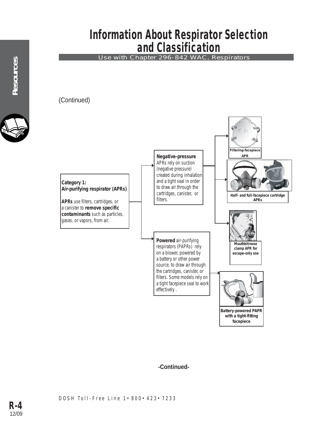### Information About Respirator Selection and Classification

Use with Chapter 296-842 WAC, Respirators

(Continued)



### **-Continued-**

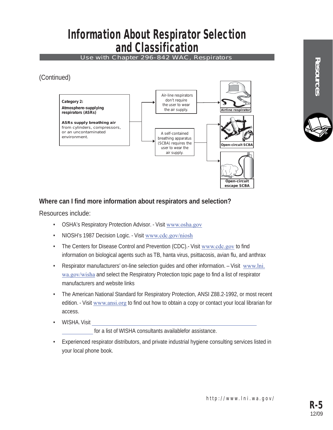## Information About Respirator Selection and Classification

Use with Chapter 296-842 WAC, Respirators

(Continued)



### **Where can I find more information about respirators and selection?**

Resources include:

- OSHA's Respiratory Protection Advisor. Visit www.osha.gov
- NIOSH's 1987 Decision Logic. Visit www.cdc.gov/niosh
- The Centers for Disease Control and Prevention (CDC).- Visit www.cdc.gov to find information on biological agents such as TB, hanta virus, psittacosis, avian flu, and anthrax
- Respirator manufacturers' on-line selection guides and other information. Visit www.lni. wa.gov/wisha and select the Respiratory Protection topic page to find a list of respirator manufacturers and website links
- The American National Standard for Respiratory Protection, ANSI Z88.2-1992, or most recent edition. - Visit www.ansi.org to find out how to obtain a copy or contact your local librarian for access.
- WISHA. Visit https://lni.wa.gov/safety-health/preventing-injuries-illnesses/requestconsultation/ for a list of WISHA consultants availablefor assistance.
- Experienced respirator distributors, and private industrial hygiene consulting services listed in your local phone book.